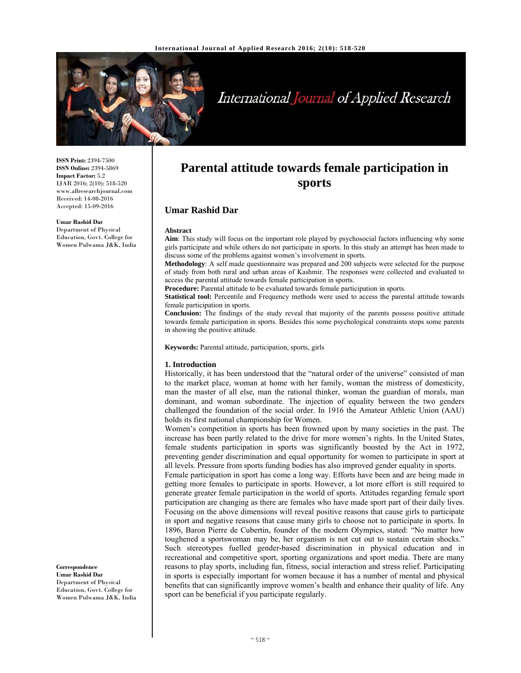

# International Journal of Applied Research

**ISSN Print:** 2394-7500 **ISSN Online:** 2394-5869 **Impact Factor:** 5.2 IJAR 2016; 2(10): 518-520 www.allresearchjournal.com Received: 14-08-2016 Accepted: 15-09-2016

#### **Umar Rashid Dar**

Department of Physical Education, Govt. College for Women Pulwama J&K, India

## **Parental attitude towards female participation in sports**

## **Umar Rashid Dar**

#### **Abstract**

**Aim**: This study will focus on the important role played by psychosocial factors influencing why some girls participate and while others do not participate in sports. In this study an attempt has been made to discuss some of the problems against women's involvement in sports.

**Methodology**: A self made questionnaire was prepared and 200 subjects were selected for the purpose of study from both rural and urban areas of Kashmir. The responses were collected and evaluated to access the parental attitude towards female participation in sports.

**Procedure:** Parental attitude to be evaluated towards female participation in sports.

**Statistical tool:** Percentile and Frequency methods were used to access the parental attitude towards female participation in sports.

**Conclusion:** The findings of the study reveal that majority of the parents possess positive attitude towards female participation in sports. Besides this some psychological constraints stops some parents in showing the positive attitude.

**Keywords:** Parental attitude, participation, sports, girls

#### **1. Introduction**

Historically, it has been understood that the "natural order of the universe" consisted of man to the market place, woman at home with her family, woman the mistress of domesticity, man the master of all else, man the rational thinker, woman the guardian of morals, man dominant, and woman subordinate. The injection of equality between the two genders challenged the foundation of the social order. In 1916 the Amateur Athletic Union (AAU) holds its first national championship for Women.

Women's competition in sports has been frowned upon by many societies in the past. The increase has been partly related to the drive for more women's rights. In the United States, female students participation in sports was significantly boosted by the Act in 1972, preventing gender discrimination and equal opportunity for women to participate in sport at all levels. Pressure from sports funding bodies has also improved gender equality in sports.

Female participation in sport has come a long way. Efforts have been and are being made in getting more females to participate in sports. However, a lot more effort is still required to generate greater female participation in the world of sports. Attitudes regarding female sport participation are changing as there are females who have made sport part of their daily lives. Focusing on the above dimensions will reveal positive reasons that cause girls to participate in sport and negative reasons that cause many girls to choose not to participate in sports. In 1896, Baron Pierre de Cubertin, founder of the modern Olympics, stated: "No matter how toughened a sportswoman may be, her organism is not cut out to sustain certain shocks." Such stereotypes fuelled gender-based discrimination in physical education and in recreational and competitive sport, sporting organizations and sport media. There are many reasons to play sports, including fun, fitness, social interaction and stress relief. Participating in sports is especially important for women because it has a number of mental and physical benefits that can significantly improve women's health and enhance their quality of life. Any sport can be beneficial if you participate regularly.

**Correspondence Umar Rashid Dar**  Department of Physical Education, Govt. College for Women Pulwama J&K, India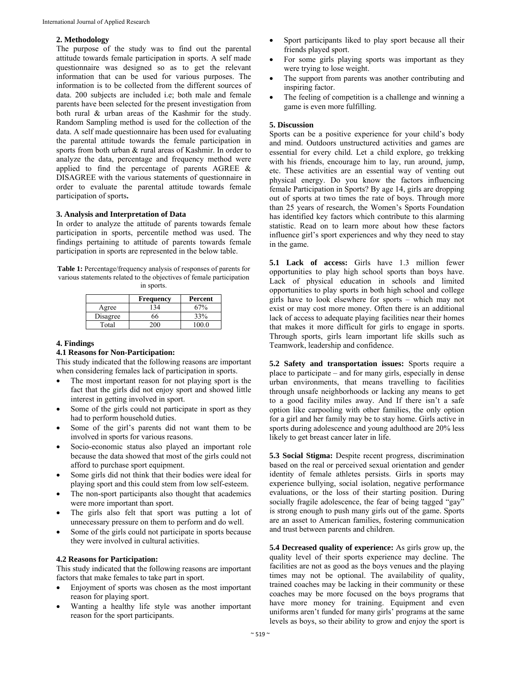#### **2. Methodology**

The purpose of the study was to find out the parental attitude towards female participation in sports. A self made questionnaire was designed so as to get the relevant information that can be used for various purposes. The information is to be collected from the different sources of data. 200 subjects are included i.e; both male and female parents have been selected for the present investigation from both rural & urban areas of the Kashmir for the study. Random Sampling method is used for the collection of the data. A self made questionnaire has been used for evaluating the parental attitude towards the female participation in sports from both urban & rural areas of Kashmir. In order to analyze the data, percentage and frequency method were applied to find the percentage of parents AGREE & DISAGREE with the various statements of questionnaire in order to evaluate the parental attitude towards female participation of sports**.** 

#### **3. Analysis and Interpretation of Data**

In order to analyze the attitude of parents towards female participation in sports, percentile method was used. The findings pertaining to attitude of parents towards female participation in sports are represented in the below table.

**Table 1:** Percentage/frequency analysis of responses of parents for various statements related to the objectives of female participation in sports.

|          | <b>Frequency</b> | Percent |
|----------|------------------|---------|
| Agree    | 34               | 67%     |
| Disagree | 66               | 33%     |
| Total    |                  |         |

#### **4. Findings**

#### **4.1 Reasons for Non-Participation:**

This study indicated that the following reasons are important when considering females lack of participation in sports.

- The most important reason for not playing sport is the fact that the girls did not enjoy sport and showed little interest in getting involved in sport.
- Some of the girls could not participate in sport as they had to perform household duties.
- Some of the girl's parents did not want them to be involved in sports for various reasons.
- Socio-economic status also played an important role because the data showed that most of the girls could not afford to purchase sport equipment.
- Some girls did not think that their bodies were ideal for playing sport and this could stem from low self-esteem.
- The non-sport participants also thought that academics were more important than sport.
- The girls also felt that sport was putting a lot of unnecessary pressure on them to perform and do well.
- Some of the girls could not participate in sports because they were involved in cultural activities.

### **4.2 Reasons for Participation:**

This study indicated that the following reasons are important factors that make females to take part in sport.

- Enjoyment of sports was chosen as the most important reason for playing sport.
- Wanting a healthy life style was another important reason for the sport participants.
- Sport participants liked to play sport because all their friends played sport.
- For some girls playing sports was important as they were trying to lose weight.
- The support from parents was another contributing and inspiring factor.
- The feeling of competition is a challenge and winning a game is even more fulfilling.

#### **5. Discussion**

Sports can be a positive experience for your child's body and mind. Outdoors unstructured activities and games are essential for every child. Let a child explore, go trekking with his friends, encourage him to lay, run around, jump, etc. These activities are an essential way of venting out physical energy. Do you know the factors influencing female Participation in Sports? By age 14, girls are dropping out of sports at two times the rate of boys. Through more than 25 years of research, the Women's Sports Foundation has identified key factors which contribute to this alarming statistic. Read on to learn more about how these factors influence girl's sport experiences and why they need to stay in the game.

**5.1 Lack of access:** Girls have 1.3 million fewer opportunities to play high school sports than boys have. Lack of physical education in schools and limited opportunities to play sports in both high school and college girls have to look elsewhere for sports – which may not exist or may cost more money. Often there is an additional lack of access to adequate playing facilities near their homes that makes it more difficult for girls to engage in sports. Through sports, girls learn important life skills such as Teamwork, leadership and confidence.

**5.2 Safety and transportation issues:** Sports require a place to participate – and for many girls, especially in dense urban environments, that means travelling to facilities through unsafe neighborhoods or lacking any means to get to a good facility miles away. And If there isn't a safe option like carpooling with other families, the only option for a girl and her family may be to stay home. Girls active in sports during adolescence and young adulthood are 20% less likely to get breast cancer later in life.

**5.3 Social Stigma:** Despite recent progress, discrimination based on the real or perceived sexual orientation and gender identity of female athletes persists. Girls in sports may experience bullying, social isolation, negative performance evaluations, or the loss of their starting position. During socially fragile adolescence, the fear of being tagged "gay" is strong enough to push many girls out of the game. Sports are an asset to American families, fostering communication and trust between parents and children.

**5.4 Decreased quality of experience:** As girls grow up, the quality level of their sports experience may decline. The facilities are not as good as the boys venues and the playing times may not be optional. The availability of quality, trained coaches may be lacking in their community or these coaches may be more focused on the boys programs that have more money for training. Equipment and even uniforms aren't funded for many girls' programs at the same levels as boys, so their ability to grow and enjoy the sport is